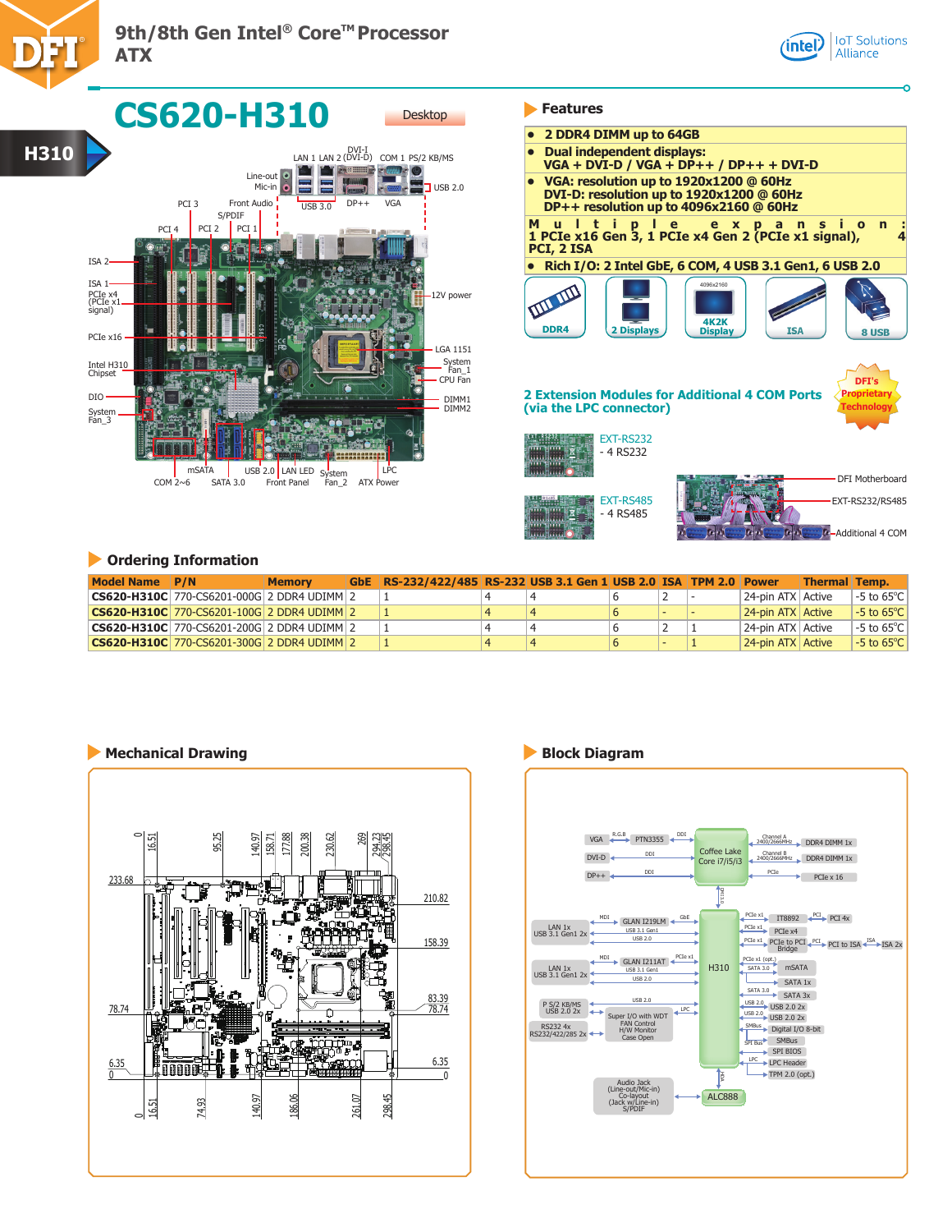

ATX Power

LPC

| 2 DDR4 DIMM up to 64GB                               |                                                                                                           |
|------------------------------------------------------|-----------------------------------------------------------------------------------------------------------|
| <b>Dual independent displays:</b><br>$\bullet$       | $VGA + DVI-D / VGA + DP++ / DP++ + DVI-D$                                                                 |
| • VGA: resolution up to 1920x1200 @ 60Hz             | DVI-D: resolution up to 1920x1200 @ 60Hz<br>DP++ resolution up to 4096x2160 @ 60Hz                        |
| M<br>$\mathbf{u}$<br>l t<br>- i<br>ple<br>PCI, 2 ISA | e x p a<br><b>n</b><br>$\Omega$<br>$\mathbf n$<br>1 PCIe x16 Gen 3, 1 PCIe x4 Gen 2 (PCIe x1 signal),     |
|                                                      | Rich I/O: 2 Intel GbE, 6 COM, 4 USB 3.1 Gen1, 6 USB 2.0                                                   |
| <b>2 Displays</b><br><b>DDR4</b>                     | 4096x2160<br><b>4K2K</b><br>ISA<br><b>Display</b><br>8 USB                                                |
| (via the LPC connector)                              | DFT's<br><b>Proprietary</b><br><b>2 Extension Modules for Additional 4 COM Ports</b><br><b>Technology</b> |
| <b>EXT-RS232</b><br>- 4 RS232                        | <b>DFI Motherboard</b>                                                                                    |
| <b>EXT-RS485</b><br>- 4 RS485                        | EXT-RS232/RS485                                                                                           |

Additional 4 COM

**IoT** Solutions

Alliance

 $\sqrt{ }$ intel $\sqrt{ }$ 

## **Ordering Information**

mSATA

System Fan\_3

Intel H31<u>0.</u><br>Chipset

DIO

The Muslim and Lusb 2.0 LAN LED System<br>2\_COM 2~6 SATA 3.0 Front Panel Fan\_2  $SATA 3.0$ 

| Model Name P/N |                                                             | <b>Memory</b> | GbE RS-232/422/485 RS-232 USB 3.1 Gen 1 USB 2.0 ISA TPM 2.0 Power |  |  |                   | <b>Thermal Temp.</b> |                         |
|----------------|-------------------------------------------------------------|---------------|-------------------------------------------------------------------|--|--|-------------------|----------------------|-------------------------|
|                | <b>CS620-H310C</b> 770-CS6201-000G 2 DDR4 UDIMM 2           |               |                                                                   |  |  | 24-pin ATX Active |                      | l -5 to 65°C l          |
|                | <b>CS620-H310C</b> 770-CS6201-100G 2 DDR4 UDIMM 2           |               |                                                                   |  |  | 24-pin ATX Active |                      | $-5$ to 65 $^{\circ}$ C |
|                | <b>CS620-H310C</b> 770-CS6201-200G 2 DDR4 UDIMM 2           |               |                                                                   |  |  | 24-pin ATX Active |                      | $-5$ to 65°C $\mid$     |
|                | $ {\bf CS620\text{-}H310C} $ 770-CS6201-300G 2 DDR4 UDIMM 2 |               |                                                                   |  |  | 24-pin ATX Active |                      | $-5$ to 65 $^{\circ}$ C |

**THE REAL** 

DIMM1 DIMM2

CPU Fan

System Fan\_1

LGA 1151

# **Mechanical Drawing Block Diagram**